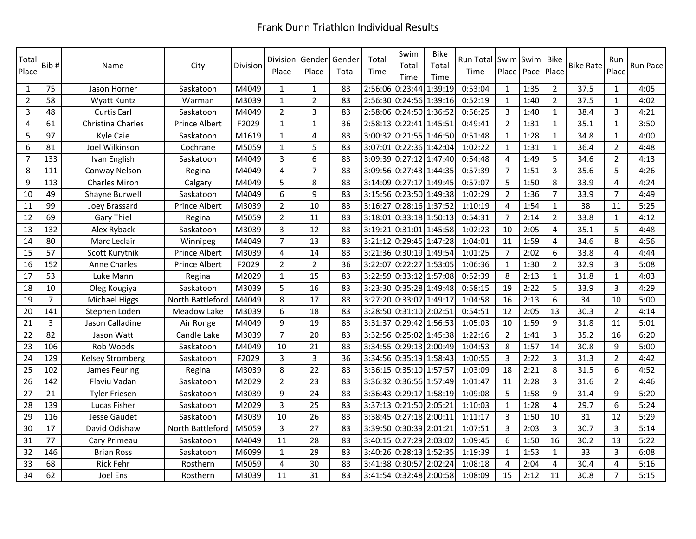| Total<br>Place | Bib#           | Name                    | City             | Division | Division<br>Place | Gender<br>Place | Gender<br>Total | Total<br>Time | Swim<br>Total<br>Time   | <b>Bike</b><br>Total<br>Time | Run Total Swim Swim<br>Time |                | Place Pace | Bike<br>Place  | <b>Bike Rate</b> | Run<br>Place   | Run Pace |
|----------------|----------------|-------------------------|------------------|----------|-------------------|-----------------|-----------------|---------------|-------------------------|------------------------------|-----------------------------|----------------|------------|----------------|------------------|----------------|----------|
| 1              | 75             | Jason Horner            | Saskatoon        | M4049    | $\mathbf{1}$      | $\mathbf{1}$    | 83              |               | 2:56:06 0:23:44         | 1:39:19                      | 0:53:04                     | $\mathbf{1}$   | 1:35       | $\overline{2}$ | 37.5             | $\mathbf{1}$   | 4:05     |
| $\overline{2}$ | 58             | <b>Wyatt Kuntz</b>      | Warman           | M3039    | $\mathbf{1}$      | $\overline{2}$  | 83              |               | 2:56:30 0:24:56 1:39:16 |                              | 0:52:19                     | $\mathbf{1}$   | 1:40       | $\overline{2}$ | 37.5             | $\mathbf{1}$   | 4:02     |
| $\overline{3}$ | 48             | Curtis Earl             | Saskatoon        | M4049    | $\overline{2}$    | 3               | 83              |               | 2:58:06 0:24:50 1:36:52 |                              | 0:56:25                     | $\mathbf{3}$   | 1:40       | $\mathbf{1}$   | 38.4             | 3              | 4:21     |
| $\overline{4}$ | 61             | Christina Charles       | Prince Albert    | F2029    | $1\,$             | $\mathbf{1}$    | 36              |               | 2:58:13 0:22:41 1:45:51 |                              | 0:49:41                     | $\overline{2}$ | 1:31       | $\mathbf{1}$   | 35.1             | $\mathbf{1}$   | 3:50     |
| 5              | 97             | Kyle Caie               | Saskatoon        | M1619    | $\mathbf{1}$      | $\overline{4}$  | 83              |               | 3:00:32 0:21:55 1:46:50 |                              | 0:51:48                     | $\mathbf{1}$   | 1:28       | $\mathbf{1}$   | 34.8             | $\mathbf{1}$   | 4:00     |
| 6              | 81             | Joel Wilkinson          | Cochrane         | M5059    | $\mathbf{1}$      | 5               | 83              |               | 3:07:01 0:22:36 1:42:04 |                              | 1:02:22                     | $\mathbf{1}$   | 1:31       | $\mathbf{1}$   | 36.4             | $\overline{2}$ | 4:48     |
| $\overline{7}$ | 133            | Ivan English            | Saskatoon        | M4049    | 3                 | 6               | 83              |               | 3:09:39 0:27:12 1:47:40 |                              | 0:54:48                     | 4              | 1:49       | 5              | 34.6             | $\overline{2}$ | 4:13     |
| 8              | 111            | Conway Nelson           | Regina           | M4049    | 4                 | $\overline{7}$  | 83              |               | 3:09:56 0:27:43 1:44:35 |                              | 0:57:39                     | $\overline{7}$ | 1:51       | $\overline{3}$ | 35.6             | 5              | 4:26     |
| 9              | 113            | <b>Charles Miron</b>    | Calgary          | M4049    | 5                 | 8               | 83              |               | 3:14:09 0:27:17 1:49:45 |                              | 0:57:07                     | 5              | 1:50       | 8              | 33.9             | 4              | 4:24     |
| 10             | 49             | Shayne Burwell          | Saskatoon        | M4049    | 6                 | 9               | 83              |               | 3:15:56 0:23:50 1:49:38 |                              | 1:02:29                     | $\overline{2}$ | 1:36       | $\overline{7}$ | 33.9             | 7              | 4:49     |
| 11             | 99             | Joey Brassard           | Prince Albert    | M3039    | $\overline{2}$    | 10              | 83              |               | 3:16:27 0:28:16 1:37:52 |                              | 1:10:19                     | $\overline{4}$ | 1:54       | $\mathbf{1}$   | 38               | 11             | 5:25     |
| 12             | 69             | Gary Thiel              | Regina           | M5059    | $\overline{2}$    | 11              | 83              |               | 3:18:01 0:33:18 1:50:13 |                              | 0:54:31                     | $\overline{7}$ | 2:14       | $\overline{2}$ | 33.8             | $\mathbf{1}$   | 4:12     |
| 13             | 132            | Alex Ryback             | Saskatoon        | M3039    | 3                 | 12              | 83              |               | 3:19:21 0:31:01 1:45:58 |                              | 1:02:23                     | 10             | 2:05       | $\overline{4}$ | 35.1             | 5              | 4:48     |
| 14             | 80             | Marc Leclair            | Winnipeg         | M4049    | $\overline{7}$    | 13              | 83              |               | 3:21:12 0:29:45 1:47:28 |                              | 1:04:01                     | 11             | 1:59       | 4              | 34.6             | 8              | 4:56     |
| 15             | 57             | Scott Kurytnik          | Prince Albert    | M3039    | 4                 | 14              | 83              |               | 3:21:36 0:30:19 1:49:54 |                              | 1:01:25                     | $\overline{7}$ | 2:02       | 6              | 33.8             | 4              | 4:44     |
| 16             | 152            | <b>Anne Charles</b>     | Prince Albert    | F2029    | $\overline{2}$    | $\overline{2}$  | 36              |               | 3:22:07 0:22:27 1:53:05 |                              | 1:06:36                     | $\mathbf{1}$   | 1:30       | $\overline{2}$ | 32.9             | 3              | 5:08     |
| 17             | 53             | Luke Mann               | Regina           | M2029    | $\mathbf{1}$      | 15              | 83              |               | 3:22:59 0:33:12 1:57:08 |                              | 0:52:39                     | 8              | 2:13       | $\mathbf{1}$   | 31.8             | $\mathbf{1}$   | 4:03     |
| 18             | 10             | Oleg Kougiya            | Saskatoon        | M3039    | 5                 | 16              | 83              |               | 3:23:30 0:35:28 1:49:48 |                              | 0:58:15                     | 19             | 2:22       | 5              | 33.9             | $\overline{3}$ | 4:29     |
| 19             | $\overline{7}$ | <b>Michael Higgs</b>    | North Battleford | M4049    | 8                 | 17              | 83              |               | 3:27:20 0:33:07 1:49:17 |                              | 1:04:58                     | 16             | 2:13       | 6              | 34               | 10             | 5:00     |
| 20             | 141            | Stephen Loden           | Meadow Lake      | M3039    | 6                 | 18              | 83              |               | 3:28:50 0:31:10 2:02:51 |                              | 0:54:51                     | 12             | 2:05       | 13             | 30.3             | $\overline{2}$ | 4:14     |
| 21             | $\overline{3}$ | Jason Calladine         | Air Ronge        | M4049    | 9                 | 19              | 83              |               | 3:31:37 0:29:42 1:56:53 |                              | 1:05:03                     | 10             | 1:59       | 9              | 31.8             | 11             | 5:01     |
| 22             | 82             | Jason Watt              | Candle Lake      | M3039    | $\overline{7}$    | 20              | 83              |               | 3:32:56 0:25:02 1:45:38 |                              | 1:22:16                     | $\overline{2}$ | 1:41       | 3              | 35.2             | 16             | 6:20     |
| 23             | 106            | Rob Woods               | Saskatoon        | M4049    | 10                | 21              | 83              |               | 3:34:55 0:29:13 2:00:49 |                              | 1:04:53                     | 8              | 1:57       | 14             | 30.8             | 9              | 5:00     |
| 24             | 129            | <b>Kelsey Stromberg</b> | Saskatoon        | F2029    | 3                 | 3               | 36              |               | 3:34:56 0:35:19 1:58:43 |                              | 1:00:55                     | 3              | 2:22       | 3              | 31.3             | $\overline{2}$ | 4:42     |
| 25             | 102            | James Feuring           | Regina           | M3039    | 8                 | 22              | 83              |               | 3:36:15 0:35:10 1:57:57 |                              | 1:03:09                     | 18             | 2:21       | 8              | 31.5             | 6              | 4:52     |
| 26             | 142            | Flaviu Vadan            | Saskatoon        | M2029    | $\overline{2}$    | 23              | 83              |               | 3:36:32 0:36:56 1:57:49 |                              | 1:01:47                     | 11             | 2:28       | 3              | 31.6             | $\overline{2}$ | 4:46     |
| 27             | 21             | <b>Tyler Friesen</b>    | Saskatoon        | M3039    | 9                 | 24              | 83              |               | 3:36:43 0:29:17 1:58:19 |                              | 1:09:08                     | 5              | 1:58       | 9              | 31.4             | 9              | 5:20     |
| 28             | 139            | Lucas Fisher            | Saskatoon        | M2029    | 3                 | 25              | 83              |               | 3:37:13 0:21:50 2:05:21 |                              | 1:10:03                     | $\mathbf{1}$   | 1:28       | 4              | 29.7             | 6              | 5:24     |
| 29             | 116            | Jesse Gaudet            | Saskatoon        | M3039    | 10                | 26              | 83              |               | 3:38:45 0:27:18 2:00:11 |                              | 1:11:17                     | 3              | 1:50       | 10             | 31               | 12             | 5:29     |
| 30             | 17             | David Odishaw           | North Battleford | M5059    | 3                 | 27              | 83              |               | 3:39:50 0:30:39 2:01:21 |                              | 1:07:51                     | 3              | 2:03       | 3              | 30.7             | 3              | 5:14     |
| 31             | 77             | Cary Primeau            | Saskatoon        | M4049    | 11                | 28              | 83              |               | 3:40:15 0:27:29 2:03:02 |                              | 1:09:45                     | 6              | 1:50       | 16             | 30.2             | 13             | 5:22     |
| 32             | 146            | <b>Brian Ross</b>       | Saskatoon        | M6099    | $\mathbf{1}$      | 29              | 83              |               | 3:40:26 0:28:13 1:52:35 |                              | 1:19:39                     | $\mathbf{1}$   | 1:53       | $\mathbf{1}$   | 33               | 3              | 6:08     |
| 33             | 68             | <b>Rick Fehr</b>        | Rosthern         | M5059    | 4                 | 30              | 83              |               | 3:41:38 0:30:57 2:02:24 |                              | 1:08:18                     | $\overline{4}$ | 2:04       | 4              | 30.4             | 4              | 5:16     |
| 34             | 62             | Joel Ens                | Rosthern         | M3039    | 11                | 31              | 83              |               | 3:41:54 0:32:48 2:00:58 |                              | 1:08:09                     | 15             | 2:12       | 11             | 30.8             | $\overline{7}$ | 5:15     |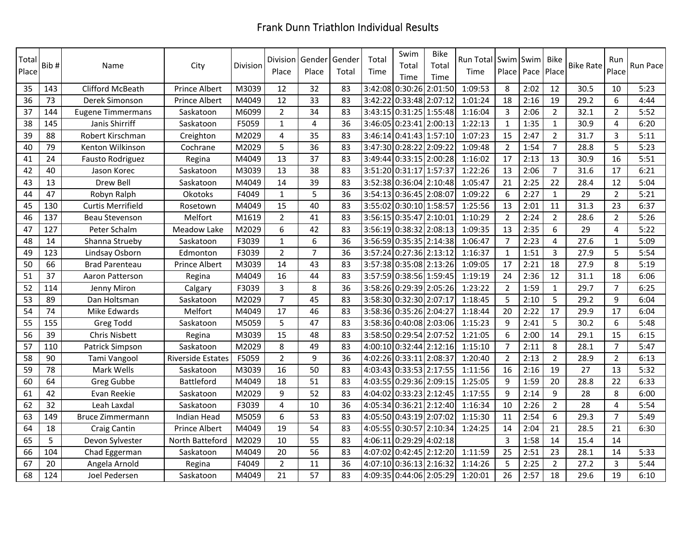| Total<br>Place | Bib# | Name                     | City                     | Division | Division<br>Place | Gender<br>Place         | Gender<br>Total | Total<br>Time | Swim<br>Total<br>Time   | <b>Bike</b><br>Total<br>Time | Run Total<br>Time | <b>Swim Swim</b><br>Place   Pace |      | Bike<br>Place  | <b>Bike Rate</b> | Run<br>Place   | Run Pace |
|----------------|------|--------------------------|--------------------------|----------|-------------------|-------------------------|-----------------|---------------|-------------------------|------------------------------|-------------------|----------------------------------|------|----------------|------------------|----------------|----------|
| 35             | 143  | Clifford McBeath         | <b>Prince Albert</b>     | M3039    | 12                | 32                      | 83              | 3:42:08       | 0:30:26 2:01:50         |                              | 1:09:53           | 8                                | 2:02 | 12             | 30.5             | 10             | 5:23     |
| 36             | 73   | Derek Simonson           | <b>Prince Albert</b>     | M4049    | 12                | 33                      | 83              | 3:42:22       | 0:33:48 2:07:12         |                              | 1:01:24           | 18                               | 2:16 | 19             | 29.2             | 6              | 4:44     |
| 37             | 144  | <b>Eugene Timmermans</b> | Saskatoon                | M6099    | $\overline{2}$    | 34                      | 83              | 3:43:15       | 0:31:25 1:55:48         |                              | 1:16:04           | 3                                | 2:06 | $2^{\circ}$    | 32.1             | $\overline{2}$ | 5:52     |
| 38             | 145  | Janis Shirriff           | Saskatoon                | F5059    | $\mathbf{1}$      | $\overline{\mathbf{4}}$ | 36              |               | 3:46:05 0:23:41 2:00:13 |                              | 1:22:13           | $\mathbf{1}$                     | 1:35 | $\mathbf{1}$   | 30.9             | $\overline{4}$ | 6:20     |
| 39             | 88   | Robert Kirschman         | Creighton                | M2029    | $\overline{4}$    | 35                      | 83              | 3:46:14       | 0:41:43 1:57:10         |                              | 1:07:23           | 15                               | 2:47 | $2^{\circ}$    | 31.7             | $\overline{3}$ | 5:11     |
| 40             | 79   | Kenton Wilkinson         | Cochrane                 | M2029    | 5                 | 36                      | 83              |               | 3:47:30 0:28:22 2:09:22 |                              | 1:09:48           | $\overline{2}$                   | 1:54 | $\overline{7}$ | 28.8             | 5              | 5:23     |
| 41             | 24   | Fausto Rodriguez         | Regina                   | M4049    | 13                | 37                      | 83              | 3:49:44       | 0:33:15 2:00:28         |                              | 1:16:02           | 17                               | 2:13 | 13             | 30.9             | 16             | 5:51     |
| 42             | 40   | Jason Korec              | Saskatoon                | M3039    | 13                | 38                      | 83              |               | 3:51:20 0:31:17 1:57:37 |                              | 1:22:26           | 13                               | 2:06 | $\overline{7}$ | 31.6             | 17             | 6:21     |
| 43             | 13   | Drew Bell                | Saskatoon                | M4049    | 14                | 39                      | 83              |               | 3:52:38 0:36:04 2:10:48 |                              | 1:05:47           | 21                               | 2:25 | 22             | 28.4             | 12             | 5:04     |
| 44             | 47   | Robyn Ralph              | Okotoks                  | F4049    | $\mathbf{1}$      | 5                       | 36              | 3:54:13       | 0:36:45 2:08:07         |                              | 1:09:22           | 6                                | 2:27 | $\mathbf{1}$   | 29               | $\overline{2}$ | 5:21     |
| 45             | 130  | <b>Curtis Merrifield</b> | Rosetown                 | M4049    | 15                | 40                      | 83              | 3:55:02       | 0:30:10 1:58:57         |                              | 1:25:56           | 13                               | 2:01 | 11             | 31.3             | 23             | 6:37     |
| 46             | 137  | <b>Beau Stevenson</b>    | Melfort                  | M1619    | $\overline{2}$    | 41                      | 83              | 3:56:15       | 0:35:47 2:10:01         |                              | 1:10:29           | $\overline{2}$                   | 2:24 | $2^{\circ}$    | 28.6             | $\overline{2}$ | 5:26     |
| 47             | 127  | Peter Schalm             | <b>Meadow Lake</b>       | M2029    | 6                 | 42                      | 83              | 3:56:19       | 0:38:32 2:08:13         |                              | 1:09:35           | 13                               | 2:35 | 6              | 29               | 4              | 5:22     |
| 48             | 14   | Shanna Strueby           | Saskatoon                | F3039    | $\mathbf{1}$      | 6                       | 36              | 3:56:59       | 0:35:35 2:14:38         |                              | 1:06:47           | $\overline{7}$                   | 2:23 | 4              | 27.6             | $\mathbf{1}$   | 5:09     |
| 49             | 123  | Lindsay Osborn           | Edmonton                 | F3039    | $\overline{2}$    | $\overline{7}$          | 36              | 3:57:24       | 0:27:36 2:13:12         |                              | 1:16:37           | $\mathbf{1}$                     | 1:51 | $\overline{3}$ | 27.9             | 5              | 5:54     |
| 50             | 66   | <b>Brad Parenteau</b>    | Prince Albert            | M3039    | 14                | 43                      | 83              | 3:57:38       | 0:35:08 2:13:26         |                              | 1:09:05           | 17                               | 2:21 | 18             | 27.9             | 8              | 5:19     |
| 51             | 37   | Aaron Patterson          | Regina                   | M4049    | 16                | 44                      | 83              |               | 3:57:59 0:38:56 1:59:45 |                              | 1:19:19           | 24                               | 2:36 | 12             | 31.1             | 18             | 6:06     |
| 52             | 114  | Jenny Miron              | Calgary                  | F3039    | $\overline{3}$    | 8                       | 36              |               | 3:58:26 0:29:39 2:05:26 |                              | 1:23:22           | $\overline{2}$                   | 1:59 | $\mathbf{1}$   | 29.7             | $\overline{7}$ | 6:25     |
| 53             | 89   | Dan Holtsman             | Saskatoon                | M2029    | $\overline{7}$    | 45                      | 83              |               | 3:58:30 0:32:30 2:07:17 |                              | 1:18:45           | 5                                | 2:10 | 5              | 29.2             | 9              | 6:04     |
| 54             | 74   | Mike Edwards             | Melfort                  | M4049    | 17                | 46                      | 83              |               | 3:58:36 0:35:26 2:04:27 |                              | 1:18:44           | 20                               | 2:22 | 17             | 29.9             | 17             | 6:04     |
| 55             | 155  | <b>Greg Todd</b>         | Saskatoon                | M5059    | 5                 | 47                      | 83              |               | 3:58:36 0:40:08 2:03:06 |                              | 1:15:23           | 9                                | 2:41 | 5 <sup>1</sup> | 30.2             | 6              | 5:48     |
| 56             | 39   | <b>Chris Nisbett</b>     | Regina                   | M3039    | 15                | 48                      | 83              |               | 3:58:50 0:29:54 2:07:52 |                              | 1:21:05           | 6                                | 2:00 | 14             | 29.1             | 15             | 6:15     |
| 57             | 110  | Patrick Simpson          | Saskatoon                | M2029    | 8                 | 49                      | 83              |               | 4:00:10 0:32:44 2:12:16 |                              | 1:15:10           | $\overline{7}$                   | 2:11 | 8              | 28.1             | $\overline{7}$ | 5:47     |
| 58             | 90   | Tami Vangool             | <b>Riverside Estates</b> | F5059    | $\overline{2}$    | 9                       | 36              | 4:02:26       | 0:33:11 2:08:37         |                              | 1:20:40           | $\overline{2}$                   | 2:13 | $2^{\circ}$    | 28.9             | $\overline{2}$ | 6:13     |
| 59             | 78   | Mark Wells               | Saskatoon                | M3039    | 16                | 50                      | 83              | 4:03:43       | $0:33:53$ 2:17:55       |                              | 1:11:56           | 16                               | 2:16 | 19             | 27               | 13             | 5:32     |
| 60             | 64   | Greg Gubbe               | Battleford               | M4049    | 18                | 51                      | 83              | 4:03:55       | 0:29:36 2:09:15         |                              | 1:25:05           | 9                                | 1:59 | 20             | 28.8             | 22             | 6:33     |
| 61             | 42   | Evan Reekie              | Saskatoon                | M2029    | 9                 | 52                      | 83              | 4:04:02       | 0:33:23 2:12:45         |                              | 1:17:55           | 9                                | 2:14 | 9              | 28               | 8              | 6:00     |
| 62             | 32   | Leah Laxdal              | Saskatoon                | F3039    | $\overline{4}$    | 10                      | 36              | 4:05:34       | $0:36:21$ 2:12:40       |                              | 1:16:34           | 10                               | 2:26 | $\overline{2}$ | 28               | 4              | 5:54     |
| 63             | 149  | Bruce Zimmermann         | Indian Head              | M5059    | 6                 | $\overline{53}$         | 83              |               | 4:05:50 0:43:19 2:07:02 |                              | 1:15:30           | 11                               | 2:54 | 6              | 29.3             | $\overline{7}$ | 5:49     |
| 64             | 18   | <b>Craig Cantin</b>      | Prince Albert            | M4049    | 19                | 54                      | 83              | 4:05:55       | 0:30:57                 | 2:10:34                      | 1:24:25           | 14                               | 2:04 | 21             | 28.5             | 21             | 6:30     |
| 65             | 5    | Devon Sylvester          | North Batteford          | M2029    | 10                | 55                      | 83              | 4:06:11       | 0:29:29                 | 4:02:18                      |                   | $\overline{3}$                   | 1:58 | 14             | 15.4             | 14             |          |
| 66             | 104  | Chad Eggerman            | Saskatoon                | M4049    | 20                | 56                      | 83              | 4:07:02       | 0:42:45 2:12:20         |                              | 1:11:59           | 25                               | 2:51 | 23             | 28.1             | 14             | 5:33     |
| 67             | 20   | Angela Arnold            | Regina                   | F4049    | $\overline{2}$    | 11                      | 36              | 4:07:10       | $0:36:13$ 2:16:32       |                              | 1:14:26           | 5                                | 2:25 | $\overline{2}$ | 27.2             | 3              | 5:44     |
| 68             | 124  | Joel Pedersen            | Saskatoon                | M4049    | 21                | 57                      | 83              |               | 4:09:35 0:44:06 2:05:29 |                              | 1:20:01           | 26                               | 2:57 | 18             | 29.6             | 19             | 6:10     |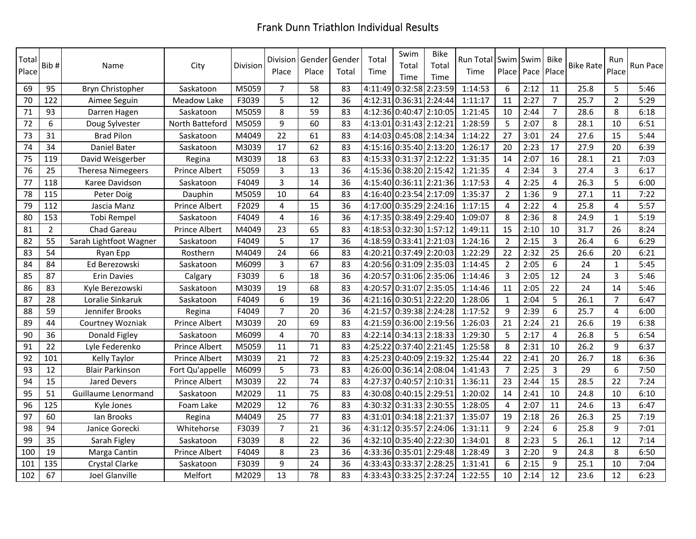| Total<br>Place | Bib#            | Name                   | City            | <b>Division</b> | Division<br>Place | Gender<br>Place | Gender<br>Total | Total<br>Time | Swim<br>Total<br>Time   | <b>Bike</b><br>Total<br>Time | Run Total Swim Swim<br>Time | Place Pace     |      | Bike<br>Place  | <b>Bike Rate</b> | Run<br>Place   | Run Pace |
|----------------|-----------------|------------------------|-----------------|-----------------|-------------------|-----------------|-----------------|---------------|-------------------------|------------------------------|-----------------------------|----------------|------|----------------|------------------|----------------|----------|
| 69             | 95              | Bryn Christopher       | Saskatoon       | M5059           | $\overline{7}$    | 58              | 83              |               | 4:11:49 0:32:58 2:23:59 |                              | 1:14:53                     | 6              | 2:12 | 11             | 25.8             | 5              | 5:46     |
| 70             | 122             | Aimee Seguin           | Meadow Lake     | F3039           | 5                 | 12              | 36              |               | 4:12:31 0:36:31 2:24:44 |                              | 1:11:17                     | 11             | 2:27 | $\overline{7}$ | 25.7             | $\overline{2}$ | 5:29     |
| 71             | 93              | Darren Hagen           | Saskatoon       | M5059           | 8                 | 59              | 83              |               | 4:12:36 0:40:47 2:10:05 |                              | 1:21:45                     | 10             | 2:44 | $\overline{7}$ | 28.6             | 8              | 6:18     |
| 72             | 6               | Doug Sylvester         | North Batteford | M5059           | 9                 | 60              | 83              |               | 4:13:01 0:31:43 2:12:21 |                              | 1:28:59                     | 5              | 2:07 | 8              | 28.1             | 10             | 6:51     |
| 73             | 31              | <b>Brad Pilon</b>      | Saskatoon       | M4049           | 22                | 61              | 83              |               | 4:14:03 0:45:08 2:14:34 |                              | 1:14:22                     | 27             | 3:01 | 24             | 27.6             | 15             | 5:44     |
| 74             | $\overline{34}$ | Daniel Bater           | Saskatoon       | M3039           | $\overline{17}$   | 62              | 83              |               | 4:15:16 0:35:40 2:13:20 |                              | 1:26:17                     | 20             | 2:23 | 17             | 27.9             | 20             | 6:39     |
| 75             | 119             | David Weisgerber       | Regina          | M3039           | 18                | 63              | 83              |               | 4:15:33 0:31:37 2:12:22 |                              | 1:31:35                     | 14             | 2:07 | 16             | 28.1             | 21             | 7:03     |
| 76             | 25              | Theresa Nimegeers      | Prince Albert   | F5059           | 3                 | 13              | 36              |               | 4:15:36 0:38:20 2:15:42 |                              | 1:21:35                     | $\overline{4}$ | 2:34 | 3              | 27.4             | 3              | 6:17     |
| 77             | 118             | Karee Davidson         | Saskatoon       | F4049           | 3                 | 14              | 36              |               | 4:15:40 0:36:11 2:21:36 |                              | 1:17:53                     | $\overline{4}$ | 2:25 | $\overline{4}$ | 26.3             | 5              | 6:00     |
| 78             | 115             | Peter Doig             | Dauphin         | M5059           | 10                | 64              | 83              |               | 4:16:40 0:23:54 2:17:09 |                              | 1:35:37                     | $\overline{2}$ | 1:36 | 9              | 27.1             | 11             | 7:22     |
| 79             | 112             | Jascia Manz            | Prince Albert   | F2029           | 4                 | 15              | 36              |               | 4:17:00 0:35:29 2:24:16 |                              | 1:17:15                     | $\overline{4}$ | 2:22 | 4              | 25.8             | $\overline{4}$ | 5:57     |
| 80             | 153             | Tobi Rempel            | Saskatoon       | F4049           | $\overline{4}$    | 16              | 36              |               | 4:17:35 0:38:49 2:29:40 |                              | 1:09:07                     | 8              | 2:36 | 8              | 24.9             | $\mathbf{1}$   | 5:19     |
| 81             | $\overline{2}$  | Chad Gareau            | Prince Albert   | M4049           | 23                | 65              | 83              |               | 4:18:53 0:32:30 1:57:12 |                              | 1:49:11                     | 15             | 2:10 | 10             | 31.7             | 26             | 8:24     |
| 82             | 55              | Sarah Lightfoot Wagner | Saskatoon       | F4049           | 5                 | 17              | 36              |               | 4:18:59 0:33:41 2:21:03 |                              | 1:24:16                     | $\overline{2}$ | 2:15 | $\overline{3}$ | 26.4             | 6              | 6:29     |
| 83             | 54              | Ryan Epp               | Rosthern        | M4049           | 24                | 66              | 83              |               | 4:20:21 0:37:49 2:20:03 |                              | 1:22:29                     | 22             | 2:32 | 25             | 26.6             | 20             | 6:21     |
| 84             | 84              | Ed Berezowski          | Saskatoon       | M6099           | 3                 | 67              | 83              |               | 4:20:56 0:31:09 2:35:03 |                              | 1:14:45                     | $\overline{2}$ | 2:05 | 6              | 24               | $\mathbf{1}$   | 5:45     |
| 85             | 87              | <b>Erin Davies</b>     | Calgary         | F3039           | 6                 | 18              | 36              |               | 4:20:57 0:31:06 2:35:06 |                              | 1:14:46                     | $\overline{3}$ | 2:05 | 12             | 24               | $\overline{3}$ | 5:46     |
| 86             | 83              | Kyle Berezowski        | Saskatoon       | M3039           | 19                | 68              | 83              |               | 4:20:57 0:31:07 2:35:05 |                              | 1:14:46                     | 11             | 2:05 | 22             | 24               | 14             | 5:46     |
| 87             | 28              | Loralie Sinkaruk       | Saskatoon       | F4049           | 6                 | 19              | 36              |               | 4:21:16 0:30:51 2:22:20 |                              | 1:28:06                     | $\mathbf{1}$   | 2:04 | 5              | 26.1             | $\overline{7}$ | 6:47     |
| 88             | 59              | Jennifer Brooks        | Regina          | F4049           | $\overline{7}$    | 20              | 36              |               | 4:21:57 0:39:38 2:24:28 |                              | 1:17:52                     | 9              | 2:39 | 6              | 25.7             | 4              | 6:00     |
| 89             | 44              | Courtney Wozniak       | Prince Albert   | M3039           | 20                | 69              | 83              |               | 4:21:59 0:36:00 2:19:56 |                              | 1:26:03                     | 21             | 2:24 | 21             | 26.6             | 19             | 6:38     |
| 90             | 36              | Donald Figley          | Saskatoon       | M6099           | 4                 | 70              | 83              | 4:22:14       | $0:34:13$ 2:18:33       |                              | 1:29:30                     | 5              | 2:17 | 4              | 26.8             | 5              | 6:54     |
| 91             | 22              | Lyle Federenko         | Prince Albert   | M5059           | 11                | 71              | 83              |               | 4:25:22 0:37:40 2:21:45 |                              | 1:25:58                     | 8              | 2:31 | 10             | 26.2             | 9              | 6:37     |
| 92             | 101             | Kelly Taylor           | Prince Albert   | M3039           | 21                | 72              | 83              |               | 4:25:23 0:40:09 2:19:32 |                              | 1:25:44                     | 22             | 2:41 | 20             | 26.7             | 18             | 6:36     |
| 93             | 12              | <b>Blair Parkinson</b> | Fort Qu'appelle | M6099           | 5                 | 73              | 83              |               | 4:26:00 0:36:14 2:08:04 |                              | 1:41:43                     | $\overline{7}$ | 2:25 | 3              | 29               | 6              | 7:50     |
| 94             | 15              | <b>Jared Devers</b>    | Prince Albert   | M3039           | 22                | 74              | 83              | 4:27:37       | 0:40:57 2:10:31         |                              | 1:36:11                     | 23             | 2:44 | 15             | 28.5             | 22             | 7:24     |
| 95             | 51              | Guillaume Lenormand    | Saskatoon       | M2029           | 11                | 75              | 83              |               | 4:30:08 0:40:15 2:29:51 |                              | 1:20:02                     | 14             | 2:41 | 10             | 24.8             | 10             | 6:10     |
| 96             | 125             | Kyle Jones             | Foam Lake       | M2029           | 12                | 76              | 83              |               | 4:30:32 0:31:33 2:30:55 |                              | 1:28:05                     | 4              | 2:07 | 11             | 24.6             | 13             | 6:47     |
| 97             | 60              | lan Brooks             | Regina          | M4049           | 25                | 77              | 83              | 4:31:01       | 0:34:18 2:21:37         |                              | 1:35:07                     | 19             | 2:18 | 26             | 26.3             | 25             | 7:19     |
| 98             | 94              | Janice Gorecki         | Whitehorse      | F3039           | 7                 | 21              | 36              | 4:31:12       | 0:35:57 2:24:06         |                              | 1:31:11                     | 9              | 2:24 | 6              | 25.8             | 9              | 7:01     |
| 99             | 35              | Sarah Figley           | Saskatoon       | F3039           | 8                 | 22              | 36              |               | 4:32:10 0:35:40 2:22:30 |                              | 1:34:01                     | 8              | 2:23 | 5              | 26.1             | 12             | 7:14     |
| 100            | 19              | Marga Cantin           | Prince Albert   | F4049           | 8                 | 23              | 36              |               | 4:33:36 0:35:01 2:29:48 |                              | 1:28:49                     | $\overline{3}$ | 2:20 | 9              | 24.8             | 8              | 6:50     |
| 101            | 135             | Crystal Clarke         | Saskatoon       | F3039           | 9                 | 24              | 36              |               | 4:33:43 0:33:37 2:28:25 |                              | 1:31:41                     | 6              | 2:15 | 9              | 25.1             | 10             | 7:04     |
| 102            | 67              | Joel Glanville         | Melfort         | M2029           | 13                | 78              | 83              |               | 4:33:43 0:33:25 2:37:24 |                              | 1:22:55                     | 10             | 2:14 | 12             | 23.6             | 12             | 6:23     |